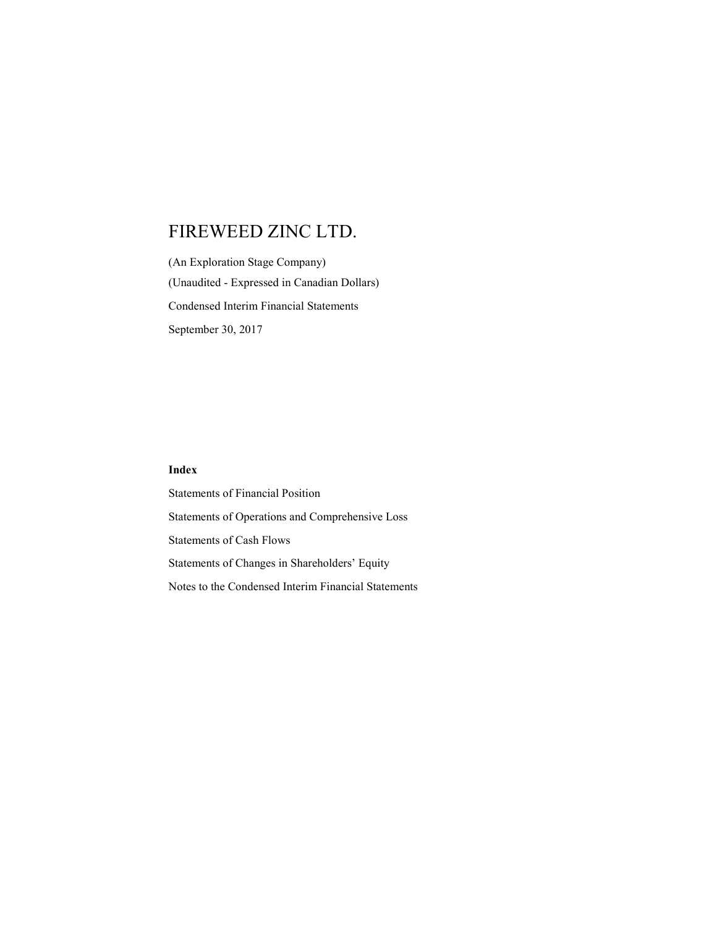(An Exploration Stage Company) (Unaudited - Expressed in Canadian Dollars) Condensed Interim Financial Statements September 30, 2017

### Index

Statements of Financial Position Statements of Operations and Comprehensive Loss Statements of Cash Flows Statements of Changes in Shareholders' Equity Notes to the Condensed Interim Financial Statements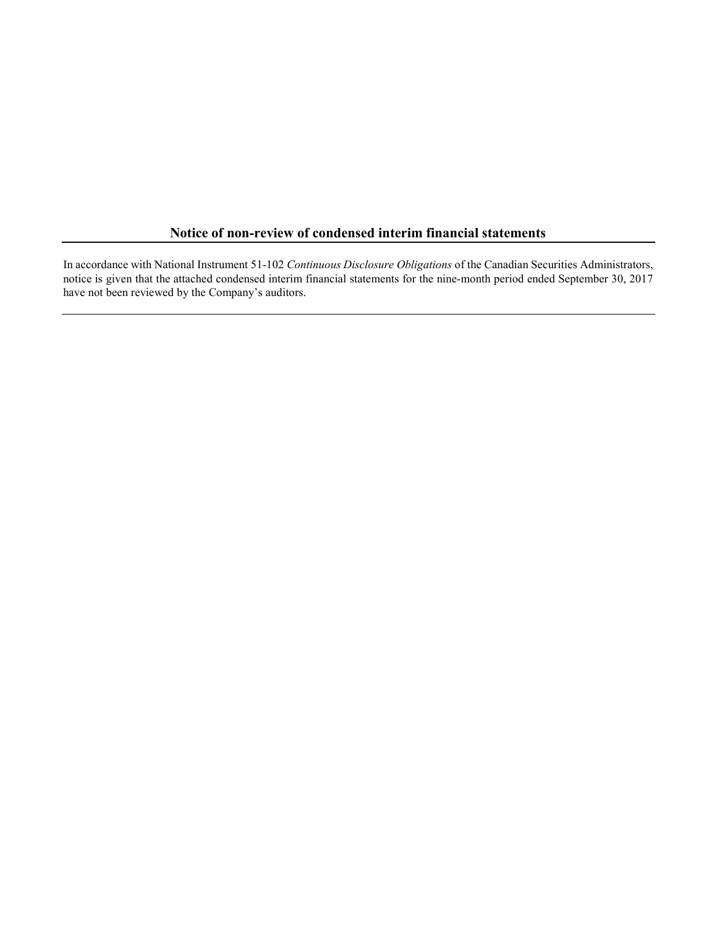### Notice of non-review of condensed interim financial statements

In accordance with National Instrument 51-102 Continuous Disclosure Obligations of the Canadian Securities Administrators, notice is given that the attached condensed interim financial statements for the nine-month period ended September 30, 2017 have not been reviewed by the Company's auditors.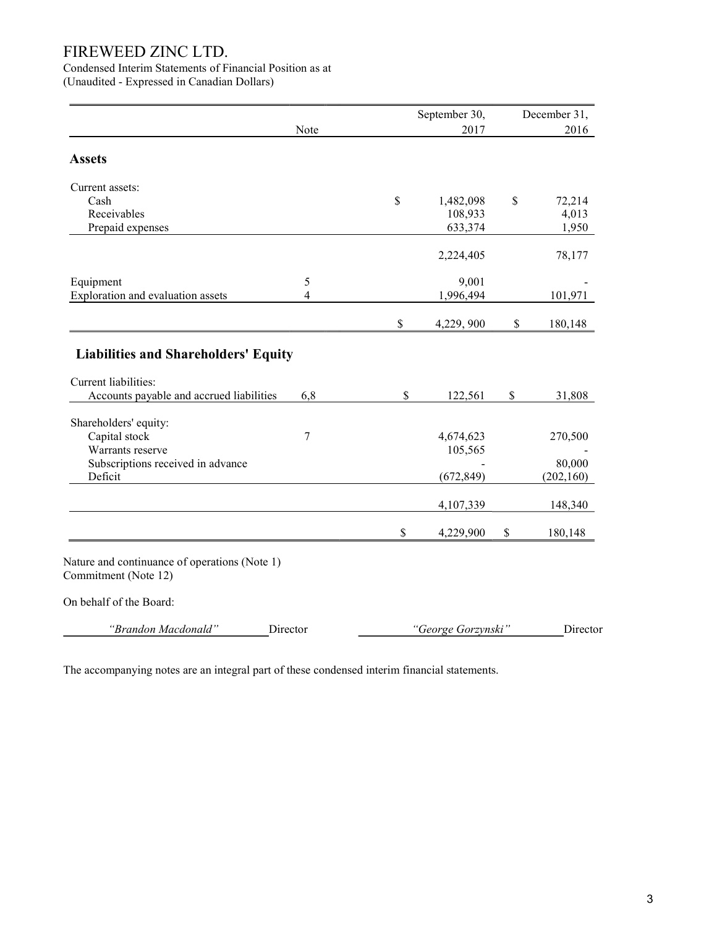Condensed Interim Statements of Financial Position as at

(Unaudited - Expressed in Canadian Dollars)

|                                                                       |          |              | September 30,      |    | December 31, |
|-----------------------------------------------------------------------|----------|--------------|--------------------|----|--------------|
|                                                                       | Note     | 2017         |                    |    | 2016         |
| <b>Assets</b>                                                         |          |              |                    |    |              |
| Current assets:                                                       |          |              |                    |    |              |
| Cash                                                                  |          | \$           | 1,482,098          | \$ | 72,214       |
| Receivables                                                           |          |              | 108,933            |    | 4,013        |
| Prepaid expenses                                                      |          |              | 633,374            |    | 1,950        |
|                                                                       |          |              | 2,224,405          |    | 78,177       |
| Equipment                                                             | 5        |              | 9,001              |    |              |
| Exploration and evaluation assets                                     | 4        |              | 1,996,494          |    | 101,971      |
|                                                                       |          | \$           | 4,229, 900         | \$ | 180,148      |
| Current liabilities:<br>Accounts payable and accrued liabilities      | 6,8      | \$           | 122,561            | \$ | 31,808       |
|                                                                       |          |              |                    |    |              |
| Shareholders' equity:<br>Capital stock                                | 7        |              | 4,674,623          |    | 270,500      |
| Warrants reserve                                                      |          |              | 105,565            |    |              |
| Subscriptions received in advance                                     |          |              |                    |    | 80,000       |
| Deficit                                                               |          |              | (672, 849)         |    | (202, 160)   |
|                                                                       |          |              | 4,107,339          |    | 148,340      |
|                                                                       |          | $\mathbb{S}$ | 4,229,900          | \$ | 180,148      |
| Nature and continuance of operations (Note 1)<br>Commitment (Note 12) |          |              |                    |    |              |
| On behalf of the Board:                                               |          |              |                    |    |              |
| "Brandon Macdonald"                                                   | Director |              | "George Gorzynski" |    | Director     |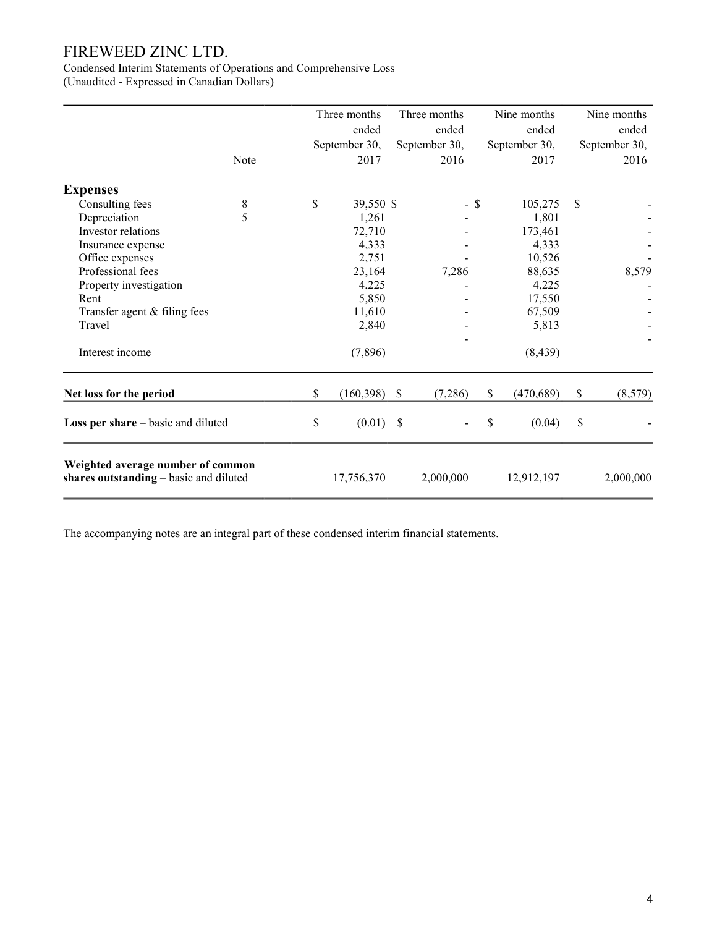Condensed Interim Statements of Operations and Comprehensive Loss (Unaudited - Expressed in Canadian Dollars)

|                                                                             |      | Three months     |                           | Three months  |      | Nine months   | Nine months   |
|-----------------------------------------------------------------------------|------|------------------|---------------------------|---------------|------|---------------|---------------|
|                                                                             |      | ended            |                           | ended         |      | ended         | ended         |
|                                                                             |      | September 30,    |                           | September 30, |      | September 30, | September 30, |
|                                                                             | Note | 2017             |                           | 2016          |      | 2017          | 2016          |
| <b>Expenses</b>                                                             |      |                  |                           |               |      |               |               |
| Consulting fees                                                             | 8    | \$<br>39,550 \$  |                           |               | - \$ | 105,275       | \$            |
| Depreciation                                                                | 5    | 1,261            |                           |               |      | 1,801         |               |
| Investor relations                                                          |      | 72,710           |                           |               |      | 173,461       |               |
| Insurance expense                                                           |      | 4,333            |                           |               |      | 4,333         |               |
| Office expenses                                                             |      | 2,751            |                           |               |      | 10,526        |               |
| Professional fees                                                           |      | 23,164           |                           | 7,286         |      | 88,635        | 8,579         |
| Property investigation                                                      |      | 4,225            |                           |               |      | 4,225         |               |
| Rent                                                                        |      | 5,850            |                           |               |      | 17,550        |               |
| Transfer agent & filing fees                                                |      | 11,610           |                           |               |      | 67,509        |               |
| Travel                                                                      |      | 2,840            |                           |               |      | 5,813         |               |
| Interest income                                                             |      | (7,896)          |                           |               |      | (8, 439)      |               |
| Net loss for the period                                                     |      | \$<br>(160, 398) | $\boldsymbol{\mathsf{S}}$ | (7,286)       | $\$$ | (470, 689)    | \$<br>(8,579) |
| Loss per share - basic and diluted                                          |      | \$<br>(0.01)     | $\mathbb{S}$              |               | \$   | (0.04)        | \$            |
| Weighted average number of common<br>shares outstanding - basic and diluted |      | 17,756,370       |                           | 2,000,000     |      | 12,912,197    | 2,000,000     |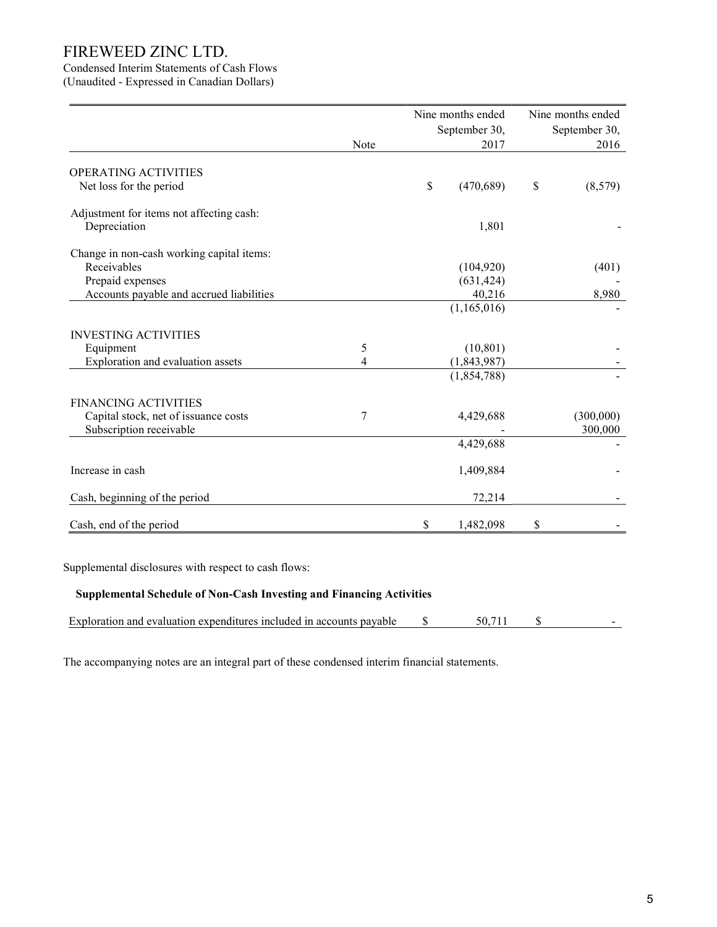# Condensed Interim Statements of Cash Flows

(Unaudited - Expressed in Canadian Dollars)

|                                           |      | Nine months ended | Nine months ended |
|-------------------------------------------|------|-------------------|-------------------|
|                                           |      | September 30,     | September 30,     |
|                                           | Note | 2017              | 2016              |
| OPERATING ACTIVITIES                      |      |                   |                   |
| Net loss for the period                   |      | \$<br>(470, 689)  | \$<br>(8,579)     |
| Adjustment for items not affecting cash:  |      |                   |                   |
| Depreciation                              |      | 1,801             |                   |
| Change in non-cash working capital items: |      |                   |                   |
| Receivables                               |      | (104, 920)        | (401)             |
| Prepaid expenses                          |      | (631, 424)        |                   |
| Accounts payable and accrued liabilities  |      | 40,216            | 8,980             |
|                                           |      | (1,165,016)       |                   |
| <b>INVESTING ACTIVITIES</b>               |      |                   |                   |
| Equipment                                 | 5    | (10, 801)         |                   |
| Exploration and evaluation assets         | 4    | (1,843,987)       |                   |
|                                           |      | (1,854,788)       |                   |
| <b>FINANCING ACTIVITIES</b>               |      |                   |                   |
| Capital stock, net of issuance costs      | 7    | 4,429,688         | (300,000)         |
| Subscription receivable                   |      |                   | 300,000           |
|                                           |      | 4,429,688         |                   |
| Increase in cash                          |      | 1,409,884         |                   |
| Cash, beginning of the period             |      | 72,214            |                   |
| Cash, end of the period                   |      | \$<br>1,482,098   | \$                |

Supplemental disclosures with respect to cash flows:

### Supplemental Schedule of Non-Cash Investing and Financing Activities

| Exploration and evaluation expenditures included in accounts payable<br>50. |  |
|-----------------------------------------------------------------------------|--|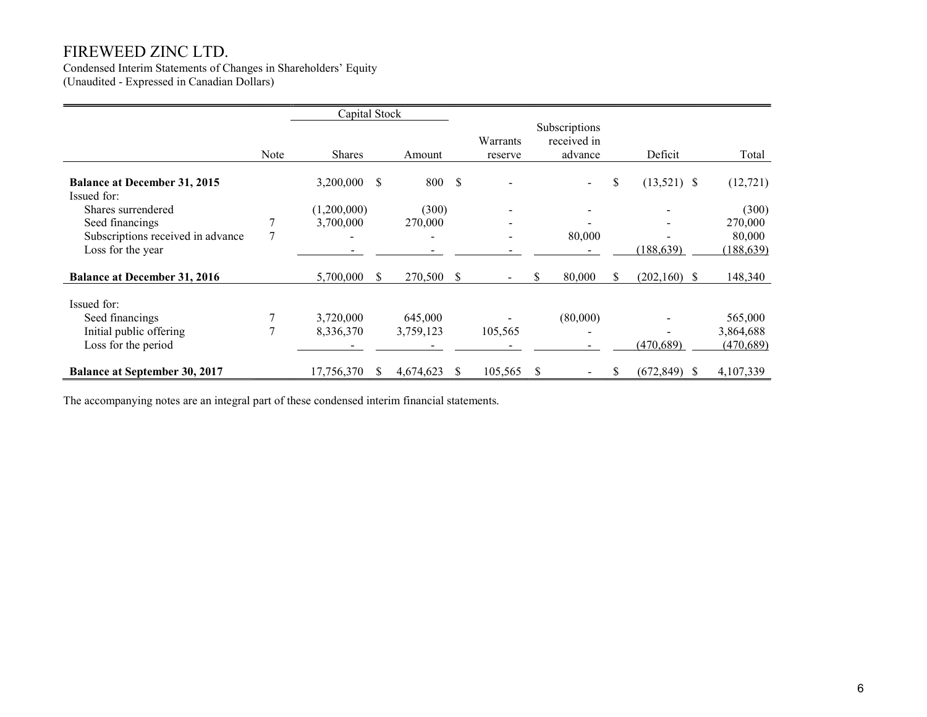Condensed Interim Statements of Changes in Shareholders' Equity (Unaudited - Expressed in Canadian Dollars)

|                                                    |      | Capital Stock |    |           |      |                     |                                         |    |                 |            |
|----------------------------------------------------|------|---------------|----|-----------|------|---------------------|-----------------------------------------|----|-----------------|------------|
|                                                    | Note | <b>Shares</b> |    | Amount    |      | Warrants<br>reserve | Subscriptions<br>received in<br>advance |    | Deficit         | Total      |
| <b>Balance at December 31, 2015</b><br>Issued for: |      | 3,200,000     | \$ | 800       | - \$ |                     |                                         | \$ | $(13,521)$ \$   | (12, 721)  |
| Shares surrendered                                 |      | (1,200,000)   |    | (300)     |      |                     |                                         |    |                 | (300)      |
| Seed financings                                    |      | 3,700,000     |    | 270,000   |      |                     |                                         |    |                 | 270,000    |
| Subscriptions received in advance                  | 7    |               |    |           |      |                     | 80,000                                  |    |                 | 80,000     |
| Loss for the year                                  |      |               |    |           |      |                     |                                         |    | (188, 639)      | (188, 639) |
| <b>Balance at December 31, 2016</b>                |      | 5,700,000     | S. | 270,500   | S    |                     | 80,000<br>\$.                           | S. | $(202,160)$ \$  | 148,340    |
| Issued for:                                        |      |               |    |           |      |                     |                                         |    |                 |            |
| Seed financings                                    |      | 3,720,000     |    | 645,000   |      |                     | (80,000)                                |    |                 | 565,000    |
| Initial public offering                            |      | 8,336,370     |    | 3,759,123 |      | 105,565             |                                         |    |                 | 3,864,688  |
| Loss for the period                                |      |               |    |           |      |                     |                                         |    | (470, 689)      | (470, 689) |
| <b>Balance at September 30, 2017</b>               |      | 17,756,370    | S. | 4,674,623 | S.   | 105,565             | S<br>$\blacksquare$                     | \$ | $(672, 849)$ \$ | 4,107,339  |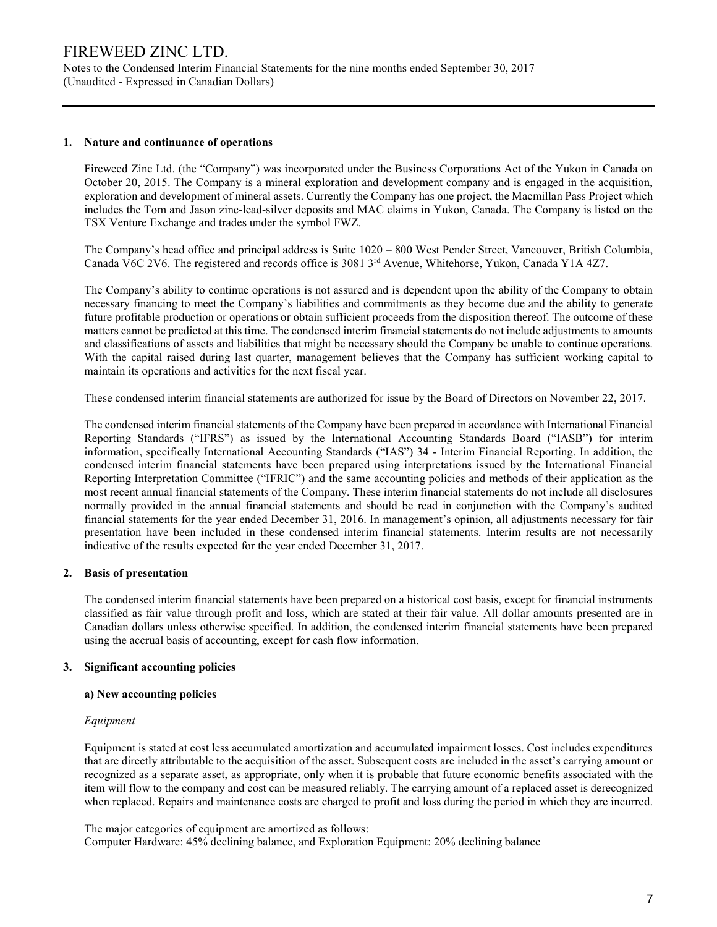Notes to the Condensed Interim Financial Statements for the nine months ended September 30, 2017 (Unaudited - Expressed in Canadian Dollars)

#### 1. Nature and continuance of operations

Fireweed Zinc Ltd. (the "Company") was incorporated under the Business Corporations Act of the Yukon in Canada on October 20, 2015. The Company is a mineral exploration and development company and is engaged in the acquisition, exploration and development of mineral assets. Currently the Company has one project, the Macmillan Pass Project which includes the Tom and Jason zinc-lead-silver deposits and MAC claims in Yukon, Canada. The Company is listed on the TSX Venture Exchange and trades under the symbol FWZ.

The Company's head office and principal address is Suite 1020 – 800 West Pender Street, Vancouver, British Columbia, Canada V6C 2V6. The registered and records office is 3081 3<sup>rd</sup> Avenue, Whitehorse, Yukon, Canada Y1A 4Z7.

The Company's ability to continue operations is not assured and is dependent upon the ability of the Company to obtain necessary financing to meet the Company's liabilities and commitments as they become due and the ability to generate future profitable production or operations or obtain sufficient proceeds from the disposition thereof. The outcome of these matters cannot be predicted at this time. The condensed interim financial statements do not include adjustments to amounts and classifications of assets and liabilities that might be necessary should the Company be unable to continue operations. With the capital raised during last quarter, management believes that the Company has sufficient working capital to maintain its operations and activities for the next fiscal year.

These condensed interim financial statements are authorized for issue by the Board of Directors on November 22, 2017.

The condensed interim financial statements of the Company have been prepared in accordance with International Financial Reporting Standards ("IFRS") as issued by the International Accounting Standards Board ("IASB") for interim information, specifically International Accounting Standards ("IAS") 34 - Interim Financial Reporting. In addition, the condensed interim financial statements have been prepared using interpretations issued by the International Financial Reporting Interpretation Committee ("IFRIC") and the same accounting policies and methods of their application as the most recent annual financial statements of the Company. These interim financial statements do not include all disclosures normally provided in the annual financial statements and should be read in conjunction with the Company's audited financial statements for the year ended December 31, 2016. In management's opinion, all adjustments necessary for fair presentation have been included in these condensed interim financial statements. Interim results are not necessarily indicative of the results expected for the year ended December 31, 2017.

### 2. Basis of presentation

The condensed interim financial statements have been prepared on a historical cost basis, except for financial instruments classified as fair value through profit and loss, which are stated at their fair value. All dollar amounts presented are in Canadian dollars unless otherwise specified. In addition, the condensed interim financial statements have been prepared using the accrual basis of accounting, except for cash flow information.

### 3. Significant accounting policies

### a) New accounting policies

### Equipment

Equipment is stated at cost less accumulated amortization and accumulated impairment losses. Cost includes expenditures that are directly attributable to the acquisition of the asset. Subsequent costs are included in the asset's carrying amount or recognized as a separate asset, as appropriate, only when it is probable that future economic benefits associated with the item will flow to the company and cost can be measured reliably. The carrying amount of a replaced asset is derecognized when replaced. Repairs and maintenance costs are charged to profit and loss during the period in which they are incurred.

The major categories of equipment are amortized as follows: Computer Hardware: 45% declining balance, and Exploration Equipment: 20% declining balance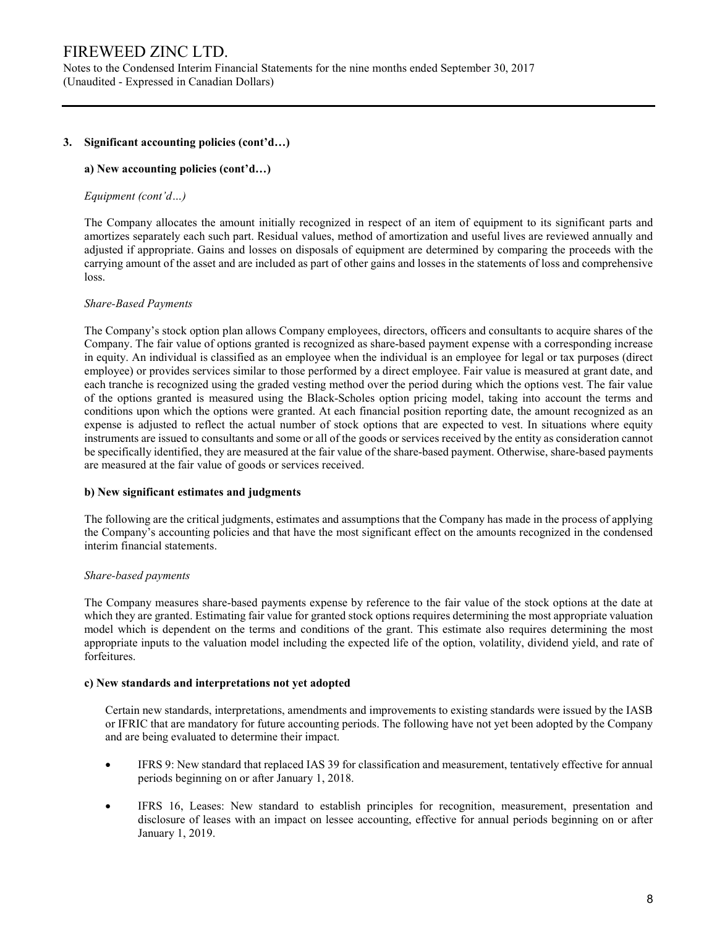Notes to the Condensed Interim Financial Statements for the nine months ended September 30, 2017 (Unaudited - Expressed in Canadian Dollars)

### 3. Significant accounting policies (cont'd…)

#### a) New accounting policies (cont'd…)

#### Equipment (cont'd…)

The Company allocates the amount initially recognized in respect of an item of equipment to its significant parts and amortizes separately each such part. Residual values, method of amortization and useful lives are reviewed annually and adjusted if appropriate. Gains and losses on disposals of equipment are determined by comparing the proceeds with the carrying amount of the asset and are included as part of other gains and losses in the statements of loss and comprehensive loss.

#### Share-Based Payments

The Company's stock option plan allows Company employees, directors, officers and consultants to acquire shares of the Company. The fair value of options granted is recognized as share-based payment expense with a corresponding increase in equity. An individual is classified as an employee when the individual is an employee for legal or tax purposes (direct employee) or provides services similar to those performed by a direct employee. Fair value is measured at grant date, and each tranche is recognized using the graded vesting method over the period during which the options vest. The fair value of the options granted is measured using the Black-Scholes option pricing model, taking into account the terms and conditions upon which the options were granted. At each financial position reporting date, the amount recognized as an expense is adjusted to reflect the actual number of stock options that are expected to vest. In situations where equity instruments are issued to consultants and some or all of the goods or services received by the entity as consideration cannot be specifically identified, they are measured at the fair value of the share-based payment. Otherwise, share-based payments are measured at the fair value of goods or services received.

#### b) New significant estimates and judgments

The following are the critical judgments, estimates and assumptions that the Company has made in the process of applying the Company's accounting policies and that have the most significant effect on the amounts recognized in the condensed interim financial statements.

#### Share-based payments

The Company measures share-based payments expense by reference to the fair value of the stock options at the date at which they are granted. Estimating fair value for granted stock options requires determining the most appropriate valuation model which is dependent on the terms and conditions of the grant. This estimate also requires determining the most appropriate inputs to the valuation model including the expected life of the option, volatility, dividend yield, and rate of forfeitures.

#### c) New standards and interpretations not yet adopted

Certain new standards, interpretations, amendments and improvements to existing standards were issued by the IASB or IFRIC that are mandatory for future accounting periods. The following have not yet been adopted by the Company and are being evaluated to determine their impact.

- IFRS 9: New standard that replaced IAS 39 for classification and measurement, tentatively effective for annual periods beginning on or after January 1, 2018.
- IFRS 16, Leases: New standard to establish principles for recognition, measurement, presentation and disclosure of leases with an impact on lessee accounting, effective for annual periods beginning on or after January 1, 2019.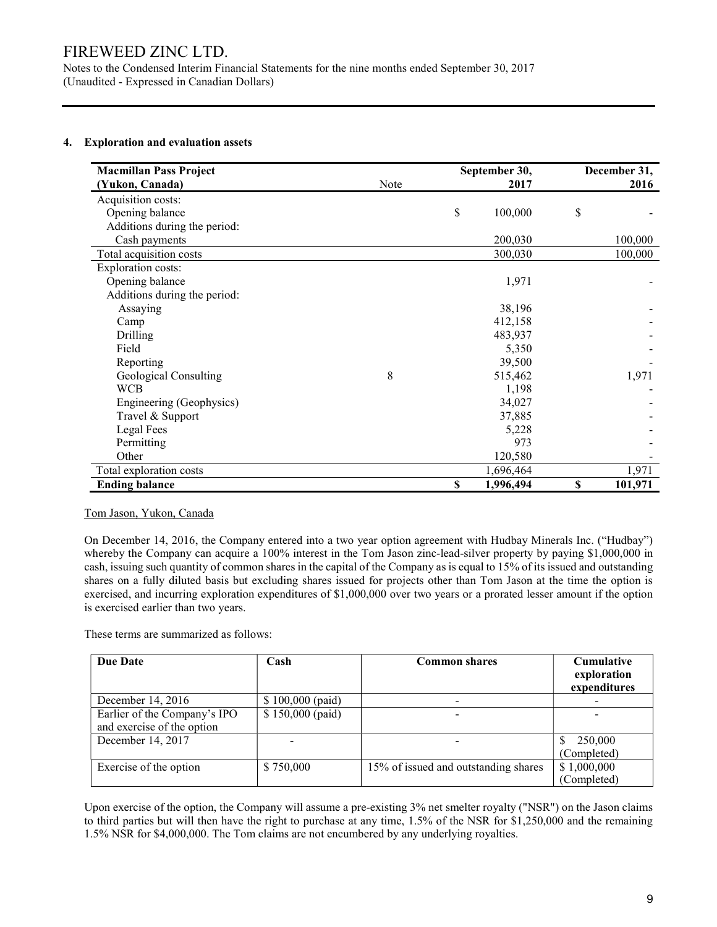Notes to the Condensed Interim Financial Statements for the nine months ended September 30, 2017 (Unaudited - Expressed in Canadian Dollars)

### 4. Exploration and evaluation assets

| <b>Macmillan Pass Project</b> |      | September 30,   | December 31, |         |  |
|-------------------------------|------|-----------------|--------------|---------|--|
| (Yukon, Canada)               | Note | 2017            |              | 2016    |  |
| Acquisition costs:            |      |                 |              |         |  |
| Opening balance               |      | \$<br>100,000   | \$           |         |  |
| Additions during the period:  |      |                 |              |         |  |
| Cash payments                 |      | 200,030         |              | 100,000 |  |
| Total acquisition costs       |      | 300,030         |              | 100,000 |  |
| <b>Exploration costs:</b>     |      |                 |              |         |  |
| Opening balance               |      | 1,971           |              |         |  |
| Additions during the period:  |      |                 |              |         |  |
| Assaying                      |      | 38,196          |              |         |  |
| Camp                          |      | 412,158         |              |         |  |
| Drilling                      |      | 483,937         |              |         |  |
| Field                         |      | 5,350           |              |         |  |
| Reporting                     |      | 39,500          |              |         |  |
| Geological Consulting         | 8    | 515,462         |              | 1,971   |  |
| <b>WCB</b>                    |      | 1,198           |              |         |  |
| Engineering (Geophysics)      |      | 34,027          |              |         |  |
| Travel & Support              |      | 37,885          |              |         |  |
| Legal Fees                    |      | 5,228           |              |         |  |
| Permitting                    |      | 973             |              |         |  |
| Other                         |      | 120,580         |              |         |  |
| Total exploration costs       |      | 1,696,464       |              | 1,971   |  |
| <b>Ending balance</b>         |      | \$<br>1,996,494 | \$           | 101,971 |  |

### Tom Jason, Yukon, Canada

On December 14, 2016, the Company entered into a two year option agreement with Hudbay Minerals Inc. ("Hudbay") whereby the Company can acquire a 100% interest in the Tom Jason zinc-lead-silver property by paying \$1,000,000 in cash, issuing such quantity of common shares in the capital of the Company as is equal to 15% of its issued and outstanding shares on a fully diluted basis but excluding shares issued for projects other than Tom Jason at the time the option is exercised, and incurring exploration expenditures of \$1,000,000 over two years or a prorated lesser amount if the option is exercised earlier than two years.

These terms are summarized as follows:

| Due Date                                                   | Cash              | <b>Common shares</b>                 | <b>Cumulative</b><br>exploration<br>expenditures |
|------------------------------------------------------------|-------------------|--------------------------------------|--------------------------------------------------|
| December 14, 2016                                          | $$100,000$ (paid) |                                      |                                                  |
| Earlier of the Company's IPO<br>and exercise of the option | $$150,000$ (paid) |                                      |                                                  |
| December 14, 2017                                          |                   |                                      | 250,000<br>(Completed)                           |
| Exercise of the option                                     | \$750,000         | 15% of issued and outstanding shares | \$1,000,000<br>(Completed)                       |

Upon exercise of the option, the Company will assume a pre-existing 3% net smelter royalty ("NSR") on the Jason claims to third parties but will then have the right to purchase at any time, 1.5% of the NSR for \$1,250,000 and the remaining 1.5% NSR for \$4,000,000. The Tom claims are not encumbered by any underlying royalties.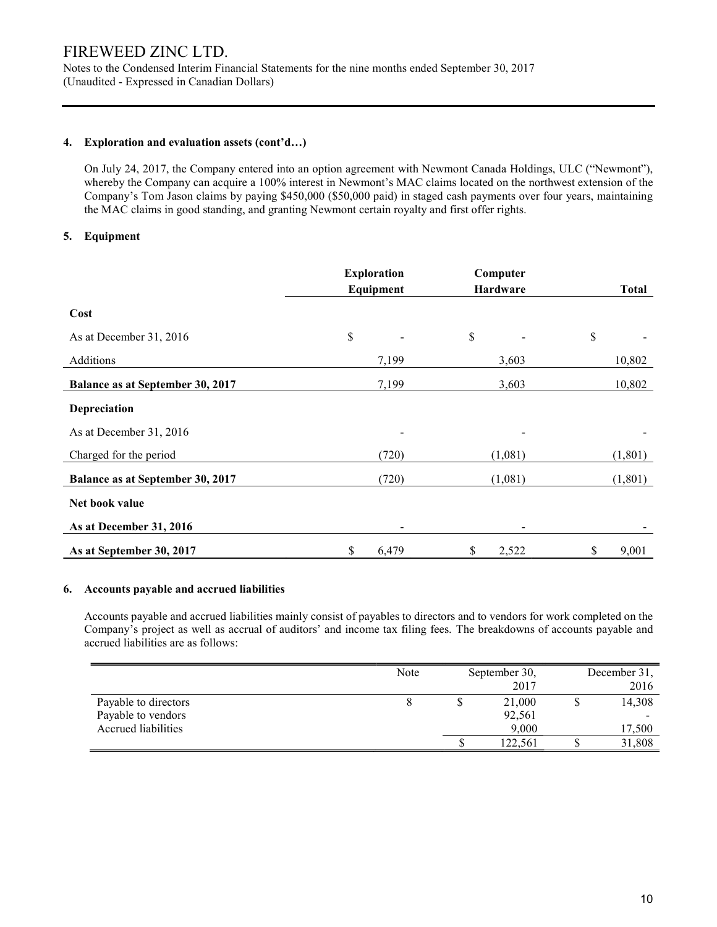Notes to the Condensed Interim Financial Statements for the nine months ended September 30, 2017 (Unaudited - Expressed in Canadian Dollars)

#### 4. Exploration and evaluation assets (cont'd…)

On July 24, 2017, the Company entered into an option agreement with Newmont Canada Holdings, ULC ("Newmont"), whereby the Company can acquire a 100% interest in Newmont's MAC claims located on the northwest extension of the Company's Tom Jason claims by paying \$450,000 (\$50,000 paid) in staged cash payments over four years, maintaining the MAC claims in good standing, and granting Newmont certain royalty and first offer rights.

### 5. Equipment

|                                  | <b>Exploration</b> | Computer        |              |
|----------------------------------|--------------------|-----------------|--------------|
|                                  | Equipment          | <b>Hardware</b> | <b>Total</b> |
| Cost                             |                    |                 |              |
| As at December 31, 2016          | \$                 | $\$$            | \$           |
| Additions                        | 7,199              | 3,603           | 10,802       |
| Balance as at September 30, 2017 | 7,199              | 3,603           | 10,802       |
| Depreciation                     |                    |                 |              |
| As at December 31, 2016          |                    |                 |              |
| Charged for the period           | (720)              | (1,081)         | (1, 801)     |
| Balance as at September 30, 2017 | (720)              | (1,081)         | (1, 801)     |
| Net book value                   |                    |                 |              |
| As at December 31, 2016          |                    |                 |              |
| As at September 30, 2017         | \$<br>6,479        | 2,522<br>\$     | 9,001<br>S   |

### 6. Accounts payable and accrued liabilities

 Accounts payable and accrued liabilities mainly consist of payables to directors and to vendors for work completed on the Company's project as well as accrual of auditors' and income tax filing fees. The breakdowns of accounts payable and accrued liabilities are as follows:

|                      | Note | September 30, |  | December 31, |
|----------------------|------|---------------|--|--------------|
|                      |      | 2017          |  | 2016         |
| Payable to directors |      | 21,000        |  | 14,308       |
| Payable to vendors   |      | 92,561        |  |              |
| Accrued liabilities  |      | 9,000         |  | 17,500       |
|                      |      | 122.561       |  | 31,808       |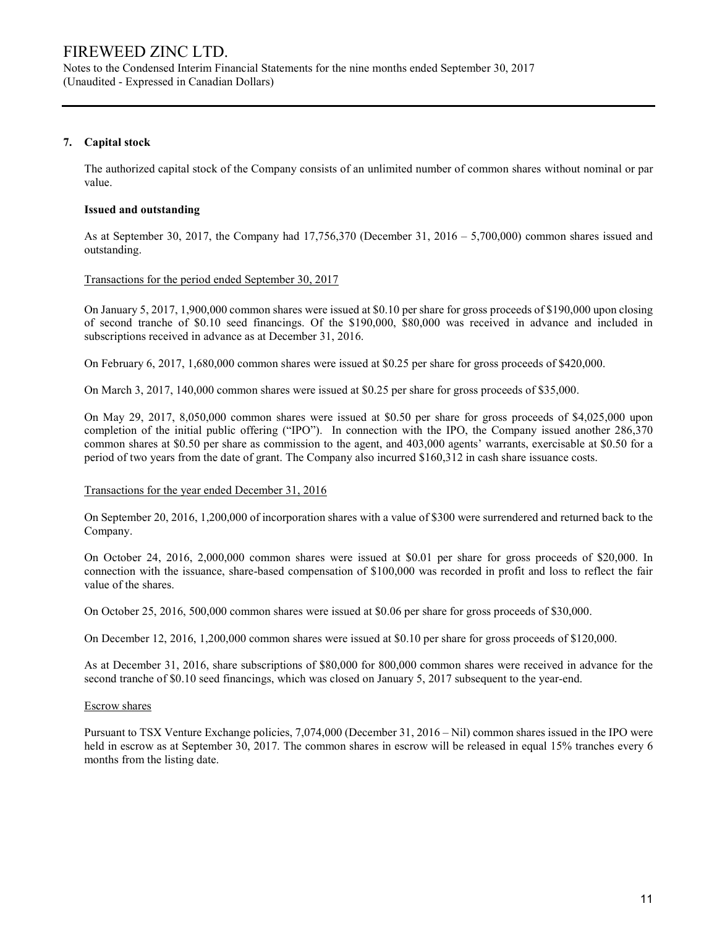Notes to the Condensed Interim Financial Statements for the nine months ended September 30, 2017 (Unaudited - Expressed in Canadian Dollars)

### 7. Capital stock

The authorized capital stock of the Company consists of an unlimited number of common shares without nominal or par value.

#### Issued and outstanding

As at September 30, 2017, the Company had 17,756,370 (December 31, 2016 – 5,700,000) common shares issued and outstanding.

#### Transactions for the period ended September 30, 2017

On January 5, 2017, 1,900,000 common shares were issued at \$0.10 per share for gross proceeds of \$190,000 upon closing of second tranche of \$0.10 seed financings. Of the \$190,000, \$80,000 was received in advance and included in subscriptions received in advance as at December 31, 2016.

On February 6, 2017, 1,680,000 common shares were issued at \$0.25 per share for gross proceeds of \$420,000.

On March 3, 2017, 140,000 common shares were issued at \$0.25 per share for gross proceeds of \$35,000.

On May 29, 2017, 8,050,000 common shares were issued at \$0.50 per share for gross proceeds of \$4,025,000 upon completion of the initial public offering ("IPO"). In connection with the IPO, the Company issued another 286,370 common shares at \$0.50 per share as commission to the agent, and 403,000 agents' warrants, exercisable at \$0.50 for a period of two years from the date of grant. The Company also incurred \$160,312 in cash share issuance costs.

#### Transactions for the year ended December 31, 2016

On September 20, 2016, 1,200,000 of incorporation shares with a value of \$300 were surrendered and returned back to the Company.

On October 24, 2016, 2,000,000 common shares were issued at \$0.01 per share for gross proceeds of \$20,000. In connection with the issuance, share-based compensation of \$100,000 was recorded in profit and loss to reflect the fair value of the shares.

On October 25, 2016, 500,000 common shares were issued at \$0.06 per share for gross proceeds of \$30,000.

On December 12, 2016, 1,200,000 common shares were issued at \$0.10 per share for gross proceeds of \$120,000.

As at December 31, 2016, share subscriptions of \$80,000 for 800,000 common shares were received in advance for the second tranche of \$0.10 seed financings, which was closed on January 5, 2017 subsequent to the year-end.

#### Escrow shares

Pursuant to TSX Venture Exchange policies, 7,074,000 (December 31, 2016 – Nil) common shares issued in the IPO were held in escrow as at September 30, 2017. The common shares in escrow will be released in equal 15% tranches every 6 months from the listing date.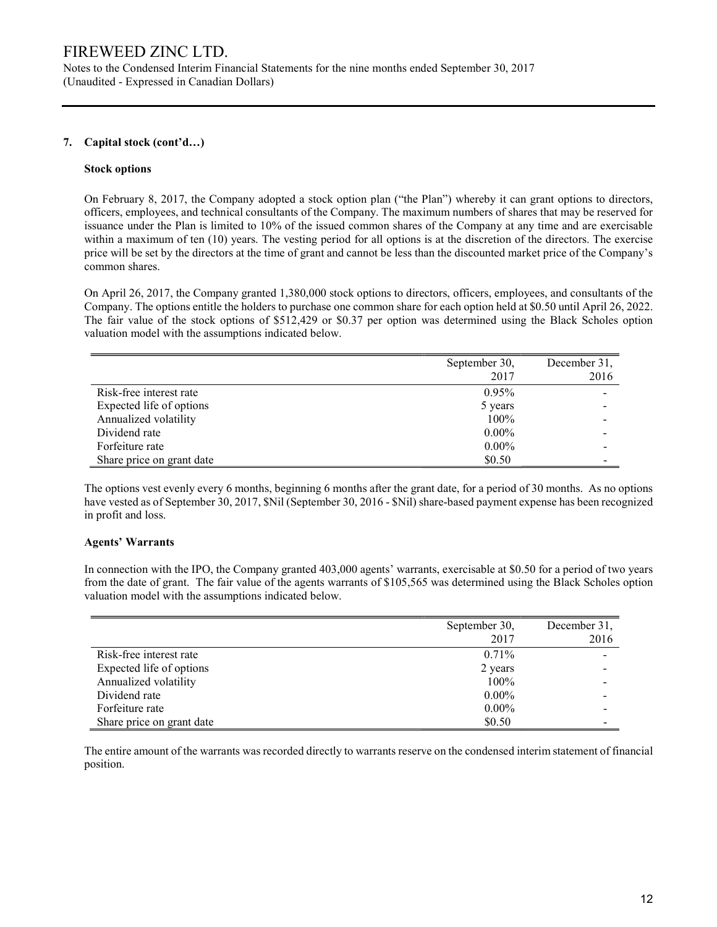Notes to the Condensed Interim Financial Statements for the nine months ended September 30, 2017 (Unaudited - Expressed in Canadian Dollars)

### 7. Capital stock (cont'd…)

#### Stock options

On February 8, 2017, the Company adopted a stock option plan ("the Plan") whereby it can grant options to directors, officers, employees, and technical consultants of the Company. The maximum numbers of shares that may be reserved for issuance under the Plan is limited to 10% of the issued common shares of the Company at any time and are exercisable within a maximum of ten (10) years. The vesting period for all options is at the discretion of the directors. The exercise price will be set by the directors at the time of grant and cannot be less than the discounted market price of the Company's common shares.

On April 26, 2017, the Company granted 1,380,000 stock options to directors, officers, employees, and consultants of the Company. The options entitle the holders to purchase one common share for each option held at \$0.50 until April 26, 2022. The fair value of the stock options of \$512,429 or \$0.37 per option was determined using the Black Scholes option valuation model with the assumptions indicated below.

|                           | September 30, | December 31, |
|---------------------------|---------------|--------------|
|                           | 2017          | 2016         |
| Risk-free interest rate   | 0.95%         |              |
| Expected life of options  | 5 years       |              |
| Annualized volatility     | 100%          |              |
| Dividend rate             | $0.00\%$      |              |
| Forfeiture rate           | $0.00\%$      |              |
| Share price on grant date | \$0.50        |              |

The options vest evenly every 6 months, beginning 6 months after the grant date, for a period of 30 months. As no options have vested as of September 30, 2017, \$Nil (September 30, 2016 - \$Nil) share-based payment expense has been recognized in profit and loss.

### Agents' Warrants

In connection with the IPO, the Company granted 403,000 agents' warrants, exercisable at \$0.50 for a period of two years from the date of grant. The fair value of the agents warrants of \$105,565 was determined using the Black Scholes option valuation model with the assumptions indicated below.

|                           | September 30, | December 31, |
|---------------------------|---------------|--------------|
|                           | 2017          | 2016         |
| Risk-free interest rate   | 0.71%         |              |
| Expected life of options  | 2 years       |              |
| Annualized volatility     | 100%          |              |
| Dividend rate             | $0.00\%$      |              |
| Forfeiture rate           | $0.00\%$      |              |
| Share price on grant date | \$0.50        |              |

The entire amount of the warrants was recorded directly to warrants reserve on the condensed interim statement of financial position.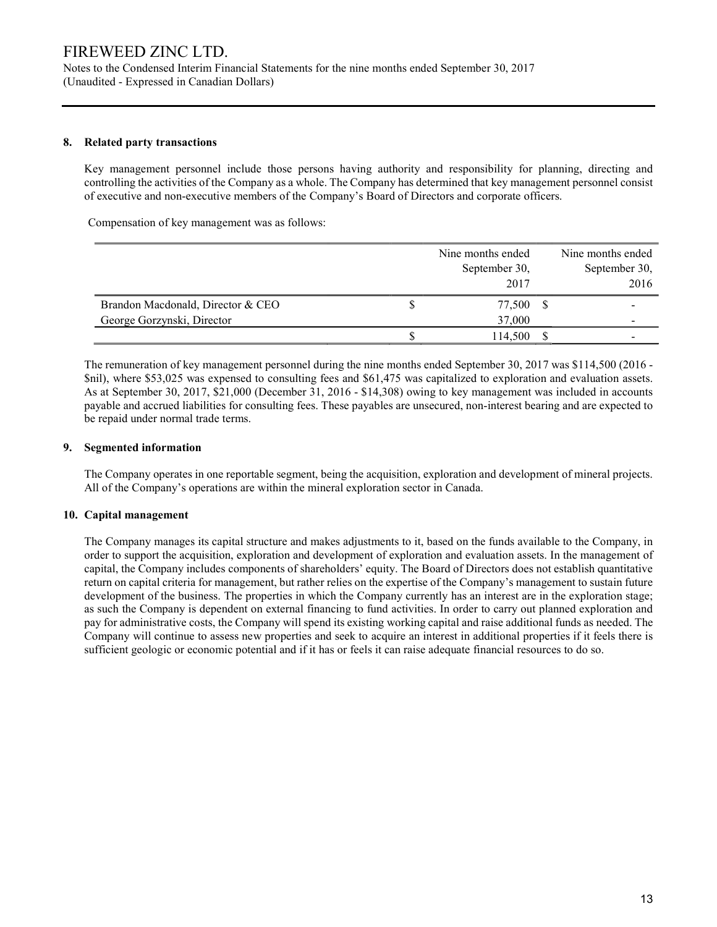Notes to the Condensed Interim Financial Statements for the nine months ended September 30, 2017 (Unaudited - Expressed in Canadian Dollars)

### 8. Related party transactions

 Key management personnel include those persons having authority and responsibility for planning, directing and controlling the activities of the Company as a whole. The Company has determined that key management personnel consist of executive and non-executive members of the Company's Board of Directors and corporate officers.

Compensation of key management was as follows:

|                                   | Nine months ended |    | Nine months ended |
|-----------------------------------|-------------------|----|-------------------|
|                                   | September 30,     |    | September 30,     |
|                                   | 2017              |    | 2016              |
| Brandon Macdonald, Director & CEO | 77,500            | -S |                   |
| George Gorzynski, Director        | 37,000            |    | $\,$              |
|                                   | 114,500           |    |                   |

 The remuneration of key management personnel during the nine months ended September 30, 2017 was \$114,500 (2016 - \$nil), where \$53,025 was expensed to consulting fees and \$61,475 was capitalized to exploration and evaluation assets. As at September 30, 2017, \$21,000 (December 31, 2016 - \$14,308) owing to key management was included in accounts payable and accrued liabilities for consulting fees. These payables are unsecured, non-interest bearing and are expected to be repaid under normal trade terms.

### 9. Segmented information

 The Company operates in one reportable segment, being the acquisition, exploration and development of mineral projects. All of the Company's operations are within the mineral exploration sector in Canada.

### 10. Capital management

The Company manages its capital structure and makes adjustments to it, based on the funds available to the Company, in order to support the acquisition, exploration and development of exploration and evaluation assets. In the management of capital, the Company includes components of shareholders' equity. The Board of Directors does not establish quantitative return on capital criteria for management, but rather relies on the expertise of the Company's management to sustain future development of the business. The properties in which the Company currently has an interest are in the exploration stage; as such the Company is dependent on external financing to fund activities. In order to carry out planned exploration and pay for administrative costs, the Company will spend its existing working capital and raise additional funds as needed. The Company will continue to assess new properties and seek to acquire an interest in additional properties if it feels there is sufficient geologic or economic potential and if it has or feels it can raise adequate financial resources to do so.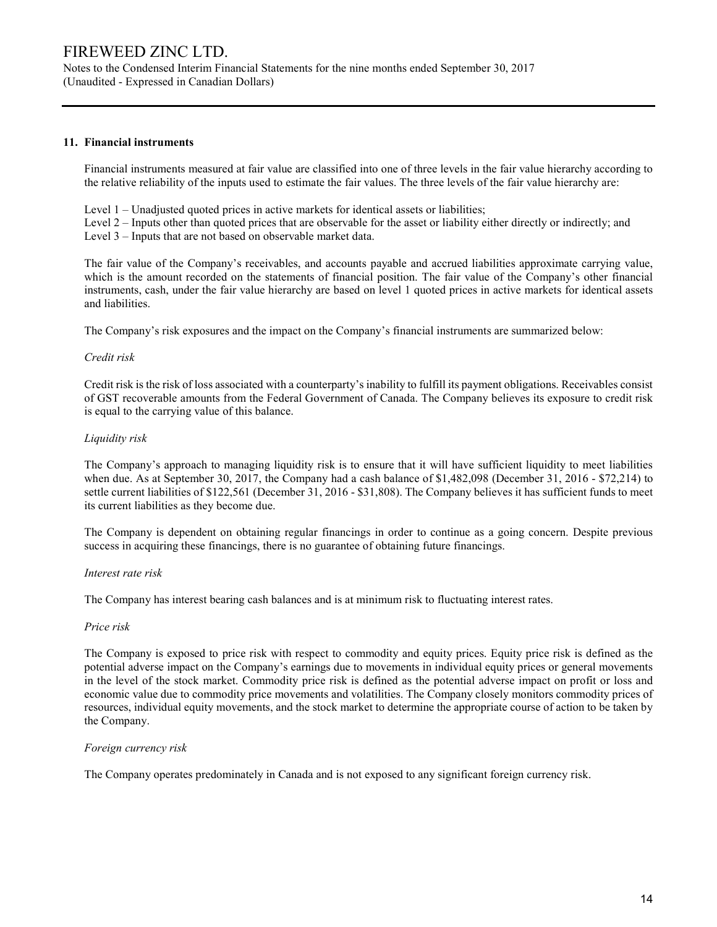Notes to the Condensed Interim Financial Statements for the nine months ended September 30, 2017 (Unaudited - Expressed in Canadian Dollars)

### 11. Financial instruments

Financial instruments measured at fair value are classified into one of three levels in the fair value hierarchy according to the relative reliability of the inputs used to estimate the fair values. The three levels of the fair value hierarchy are:

Level 1 – Unadjusted quoted prices in active markets for identical assets or liabilities;

Level 2 – Inputs other than quoted prices that are observable for the asset or liability either directly or indirectly; and Level 3 – Inputs that are not based on observable market data.

The fair value of the Company's receivables, and accounts payable and accrued liabilities approximate carrying value, which is the amount recorded on the statements of financial position. The fair value of the Company's other financial instruments, cash, under the fair value hierarchy are based on level 1 quoted prices in active markets for identical assets and liabilities.

The Company's risk exposures and the impact on the Company's financial instruments are summarized below:

#### Credit risk

Credit risk is the risk of loss associated with a counterparty's inability to fulfill its payment obligations. Receivables consist of GST recoverable amounts from the Federal Government of Canada. The Company believes its exposure to credit risk is equal to the carrying value of this balance.

### Liquidity risk

The Company's approach to managing liquidity risk is to ensure that it will have sufficient liquidity to meet liabilities when due. As at September 30, 2017, the Company had a cash balance of \$1,482,098 (December 31, 2016 - \$72,214) to settle current liabilities of \$122,561 (December 31, 2016 - \$31,808). The Company believes it has sufficient funds to meet its current liabilities as they become due.

The Company is dependent on obtaining regular financings in order to continue as a going concern. Despite previous success in acquiring these financings, there is no guarantee of obtaining future financings.

### Interest rate risk

The Company has interest bearing cash balances and is at minimum risk to fluctuating interest rates.

### Price risk

The Company is exposed to price risk with respect to commodity and equity prices. Equity price risk is defined as the potential adverse impact on the Company's earnings due to movements in individual equity prices or general movements in the level of the stock market. Commodity price risk is defined as the potential adverse impact on profit or loss and economic value due to commodity price movements and volatilities. The Company closely monitors commodity prices of resources, individual equity movements, and the stock market to determine the appropriate course of action to be taken by the Company.

### Foreign currency risk

The Company operates predominately in Canada and is not exposed to any significant foreign currency risk.